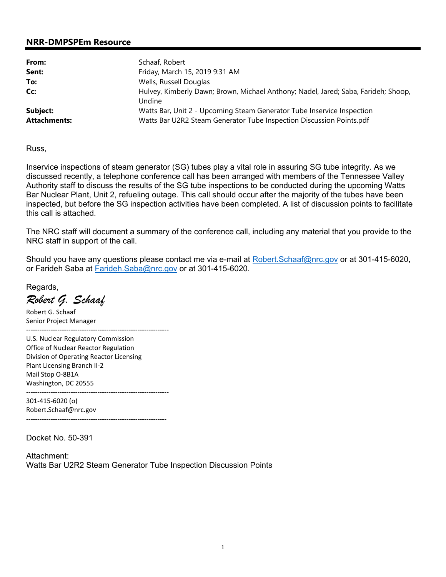## **NRR-DMPSPEm Resource**

| From:               | Schaaf, Robert                                                                     |  |
|---------------------|------------------------------------------------------------------------------------|--|
| Sent:               | Friday, March 15, 2019 9:31 AM                                                     |  |
| To:                 | Wells, Russell Douglas                                                             |  |
| Cc:                 | Hulvey, Kimberly Dawn; Brown, Michael Anthony; Nadel, Jared; Saba, Farideh; Shoop, |  |
|                     | Undine                                                                             |  |
| Subject:            | Watts Bar, Unit 2 - Upcoming Steam Generator Tube Inservice Inspection             |  |
| <b>Attachments:</b> | Watts Bar U2R2 Steam Generator Tube Inspection Discussion Points.pdf               |  |

Russ,

Inservice inspections of steam generator (SG) tubes play a vital role in assuring SG tube integrity. As we discussed recently, a telephone conference call has been arranged with members of the Tennessee Valley Authority staff to discuss the results of the SG tube inspections to be conducted during the upcoming Watts Bar Nuclear Plant, Unit 2, refueling outage. This call should occur after the majority of the tubes have been inspected, but before the SG inspection activities have been completed. A list of discussion points to facilitate this call is attached.

The NRC staff will document a summary of the conference call, including any material that you provide to the NRC staff in support of the call.

Should you have any questions please contact me via e-mail at Robert.Schaaf@nrc.gov or at 301-415-6020, or Farideh Saba at Farideh.Saba@nrc.gov or at 301-415-6020.

Regards,

*Robert G. Schaaf* 

Robert G. Schaaf Senior Project Manager

U.S. Nuclear Regulatory Commission Office of Nuclear Reactor Regulation Division of Operating Reactor Licensing Plant Licensing Branch II-2 Mail Stop O-8B1A Washington, DC 20555

----------------------------------------------------------------

----------------------------------------------------------------

301-415-6020 (o) Robert.Schaaf@nrc.gov ---------------------------------------------------------------

Docket No. 50-391

Attachment: Watts Bar U2R2 Steam Generator Tube Inspection Discussion Points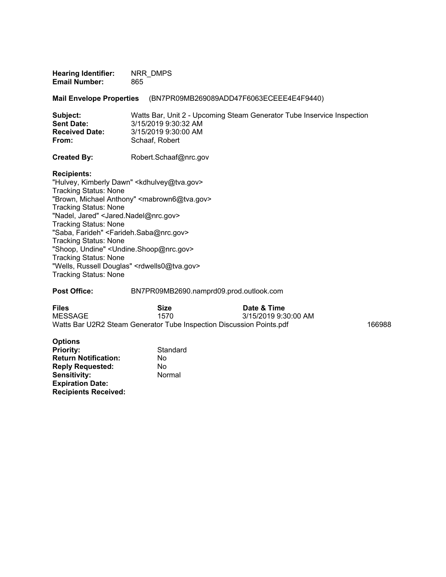| <b>Hearing Identifier:</b> | NRR DMPS |
|----------------------------|----------|
| <b>Email Number:</b>       | 865      |

**Mail Envelope Properties** (BN7PR09MB269089ADD47F6063ECEEE4E4F9440)

| Subject:              | Watts Bar, Unit 2 - Upcoming Steam Generator Tube Inservice Inspection |
|-----------------------|------------------------------------------------------------------------|
| <b>Sent Date:</b>     | 3/15/2019 9:30:32 AM                                                   |
| <b>Received Date:</b> | 3/15/2019 9:30:00 AM                                                   |
| From:                 | Schaaf, Robert                                                         |
|                       |                                                                        |

**Created By:** Robert.Schaaf@nrc.gov

**Recipients:** 

"Hulvey, Kimberly Dawn" <kdhulvey@tva.gov> Tracking Status: None "Brown, Michael Anthony" <mabrown6@tva.gov> Tracking Status: None "Nadel, Jared" <Jared.Nadel@nrc.gov> Tracking Status: None "Saba, Farideh" <Farideh.Saba@nrc.gov> Tracking Status: None "Shoop, Undine" <Undine.Shoop@nrc.gov> Tracking Status: None "Wells, Russell Douglas" <rdwells0@tva.gov> Tracking Status: None

**Post Office:** BN7PR09MB2690.namprd09.prod.outlook.com

| <b>Files</b>                                                         | Size | Date & Time          |        |
|----------------------------------------------------------------------|------|----------------------|--------|
| MESSAGE                                                              | 1570 | 3/15/2019 9:30:00 AM |        |
| Watts Bar U2R2 Steam Generator Tube Inspection Discussion Points.pdf |      |                      | 166988 |

| <b>Options</b>              |          |
|-----------------------------|----------|
| <b>Priority:</b>            | Standard |
| <b>Return Notification:</b> | No       |
| <b>Reply Requested:</b>     | No       |
| <b>Sensitivity:</b>         | Normal   |
| <b>Expiration Date:</b>     |          |
| <b>Recipients Received:</b> |          |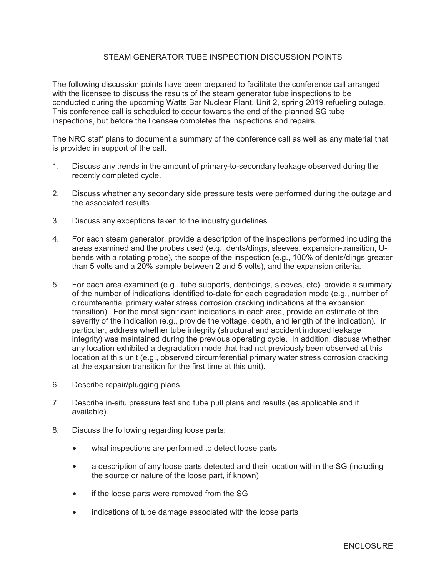## STEAM GENERATOR TUBE INSPECTION DISCUSSION POINTS

The following discussion points have been prepared to facilitate the conference call arranged with the licensee to discuss the results of the steam generator tube inspections to be conducted during the upcoming Watts Bar Nuclear Plant, Unit 2, spring 2019 refueling outage. This conference call is scheduled to occur towards the end of the planned SG tube inspections, but before the licensee completes the inspections and repairs.

The NRC staff plans to document a summary of the conference call as well as any material that is provided in support of the call.

- 1. Discuss any trends in the amount of primary-to-secondary leakage observed during the recently completed cycle.
- 2. Discuss whether any secondary side pressure tests were performed during the outage and the associated results.
- 3. Discuss any exceptions taken to the industry guidelines.
- 4. For each steam generator, provide a description of the inspections performed including the areas examined and the probes used (e.g., dents/dings, sleeves, expansion-transition, Ubends with a rotating probe), the scope of the inspection (e.g., 100% of dents/dings greater than 5 volts and a 20% sample between 2 and 5 volts), and the expansion criteria.
- 5. For each area examined (e.g., tube supports, dent/dings, sleeves, etc), provide a summary of the number of indications identified to-date for each degradation mode (e.g., number of circumferential primary water stress corrosion cracking indications at the expansion transition). For the most significant indications in each area, provide an estimate of the severity of the indication (e.g., provide the voltage, depth, and length of the indication). In particular, address whether tube integrity (structural and accident induced leakage integrity) was maintained during the previous operating cycle. In addition, discuss whether any location exhibited a degradation mode that had not previously been observed at this location at this unit (e.g., observed circumferential primary water stress corrosion cracking at the expansion transition for the first time at this unit).
- 6. Describe repair/plugging plans.
- 7. Describe in-situ pressure test and tube pull plans and results (as applicable and if available).
- 8. Discuss the following regarding loose parts:
	- what inspections are performed to detect loose parts
	- a description of any loose parts detected and their location within the SG (including the source or nature of the loose part, if known)
	- if the loose parts were removed from the SG
	- indications of tube damage associated with the loose parts